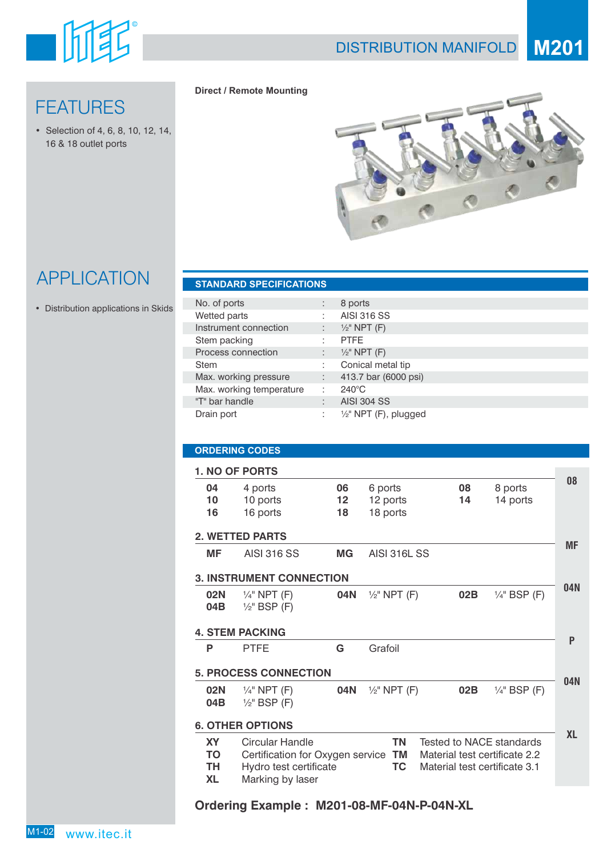

# **FEATURES**

• Selection of 4, 6, 8, 10, 12,14, 16 & 18 outlet ports

### **Direct / Remote Mounting**



# APPLICATION **STANDARD SPECIFICATIONS**

• Distribution applications in Skids

| No. of ports             | $\mathbf{r}$ | 8 ports                 |
|--------------------------|--------------|-------------------------|
| Wetted parts             |              | <b>AISI 316 SS</b>      |
| Instrument connection    |              | $\frac{1}{2}$ " NPT (F) |
| Stem packing             |              | <b>PTFE</b>             |
| Process connection       | ÷            | $\frac{1}{2}$ " NPT (F) |
| <b>Stem</b>              | ٠            | Conical metal tip       |
| Max. working pressure    | ÷.           | 413.7 bar (6000 psi)    |
| Max. working temperature | ÷            | $240^{\circ}$ C         |
| "T" bar handle           | $\cdot$      | <b>AISI 304 SS</b>      |
| Drain port               | ٠            | 1/2" NPT (F), plugged   |
|                          |              |                         |

## **ORDERING CODES**

|                                    | 1. NO OF PORTS                                                                                    |                |                                 |          |                                                                                            |           |
|------------------------------------|---------------------------------------------------------------------------------------------------|----------------|---------------------------------|----------|--------------------------------------------------------------------------------------------|-----------|
| 04<br>10<br>16                     | 4 ports<br>10 ports<br>16 ports                                                                   | 06<br>12<br>18 | 6 ports<br>12 ports<br>18 ports | 08<br>14 | 8 ports<br>14 ports                                                                        | 08        |
|                                    | <b>2. WETTED PARTS</b>                                                                            |                |                                 |          |                                                                                            |           |
| MF                                 | <b>AISI 316 SS</b>                                                                                | <b>MG</b>      | <b>AISI 316L SS</b>             |          |                                                                                            | MF        |
|                                    | <b>3. INSTRUMENT CONNECTION</b>                                                                   |                |                                 |          |                                                                                            |           |
| 02N<br>04B                         | $\frac{1}{4}$ " NPT (F)<br>$\frac{1}{2}$ " BSP (F)                                                | 04N            | $\frac{1}{2}$ " NPT (F)         | 02B      | $\frac{1}{4}$ " BSP (F)                                                                    | 04N       |
|                                    | <b>4. STEM PACKING</b>                                                                            |                |                                 |          |                                                                                            |           |
| P                                  | <b>PTFE</b>                                                                                       | G              | Grafoil                         |          |                                                                                            | P         |
|                                    | <b>5. PROCESS CONNECTION</b>                                                                      |                |                                 |          |                                                                                            |           |
| 02N<br>04B                         | $\frac{1}{4}$ " NPT (F)<br>$\frac{1}{2}$ " BSP (F)                                                | 04N            | $\frac{1}{2}$ " NPT (F)         | 02B      | $\frac{1}{4}$ " BSP (F)                                                                    | 04N       |
|                                    | <b>6. OTHER OPTIONS</b>                                                                           |                |                                 |          |                                                                                            |           |
| <b>XY</b><br>TO<br>TH<br><b>XL</b> | Circular Handle<br>Certification for Oxygen service<br>Hydro test certificate<br>Marking by laser |                | ΤN<br><b>TM</b><br>TC           |          | Tested to NACE standards<br>Material test certificate 2.2<br>Material test certificate 3.1 | <b>XL</b> |

## **Ordering Example : M201-08-MF-04N-P-04N-XL**